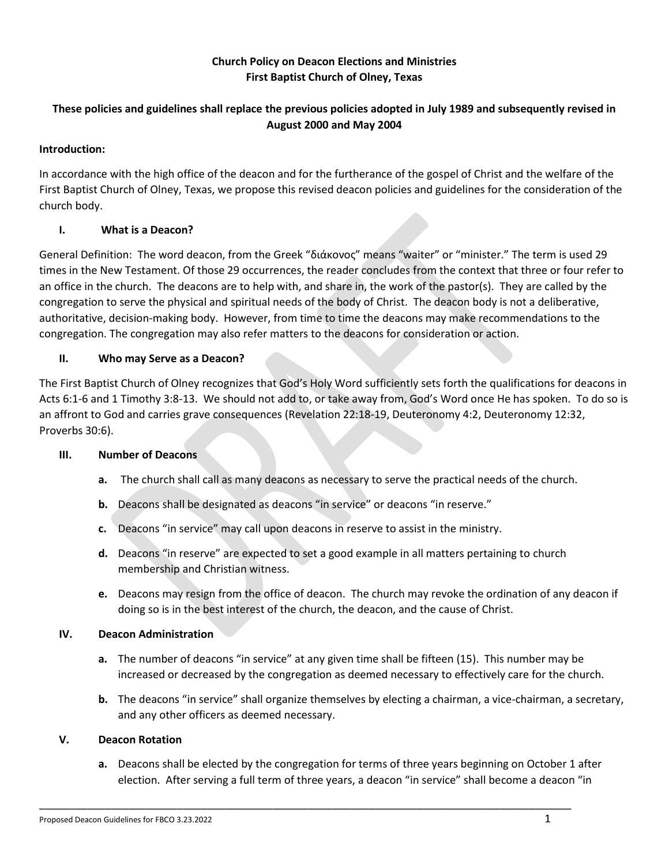## **Church Policy on Deacon Elections and Ministries First Baptist Church of Olney, Texas**

# **These policies and guidelines shall replace the previous policies adopted in July 1989 and subsequently revised in August 2000 and May 2004**

## **Introduction:**

In accordance with the high office of the deacon and for the furtherance of the gospel of Christ and the welfare of the First Baptist Church of Olney, Texas, we propose this revised deacon policies and guidelines for the consideration of the church body.

## **I. What is a Deacon?**

General Definition: The word deacon, from the Greek "διάκονος" means "waiter" or "minister." The term is used 29 times in the New Testament. Of those 29 occurrences, the reader concludes from the context that three or four refer to an office in the church. The deacons are to help with, and share in, the work of the pastor(s). They are called by the congregation to serve the physical and spiritual needs of the body of Christ. The deacon body is not a deliberative, authoritative, decision-making body. However, from time to time the deacons may make recommendations to the congregation. The congregation may also refer matters to the deacons for consideration or action.

### **II. Who may Serve as a Deacon?**

The First Baptist Church of Olney recognizes that God's Holy Word sufficiently sets forth the qualifications for deacons in Acts 6:1-6 and 1 Timothy 3:8-13. We should not add to, or take away from, God's Word once He has spoken. To do so is an affront to God and carries grave consequences (Revelation 22:18-19, Deuteronomy 4:2, Deuteronomy 12:32, Proverbs 30:6).

#### **III. Number of Deacons**

- **a.** The church shall call as many deacons as necessary to serve the practical needs of the church.
- **b.** Deacons shall be designated as deacons "in service" or deacons "in reserve."
- **c.** Deacons "in service" may call upon deacons in reserve to assist in the ministry.
- **d.** Deacons "in reserve" are expected to set a good example in all matters pertaining to church membership and Christian witness.
- **e.** Deacons may resign from the office of deacon. The church may revoke the ordination of any deacon if doing so is in the best interest of the church, the deacon, and the cause of Christ.

#### **IV. Deacon Administration**

- **a.** The number of deacons "in service" at any given time shall be fifteen (15). This number may be increased or decreased by the congregation as deemed necessary to effectively care for the church.
- **b.** The deacons "in service" shall organize themselves by electing a chairman, a vice-chairman, a secretary, and any other officers as deemed necessary.

### **V. Deacon Rotation**

**a.** Deacons shall be elected by the congregation for terms of three years beginning on October 1 after election. After serving a full term of three years, a deacon "in service" shall become a deacon "in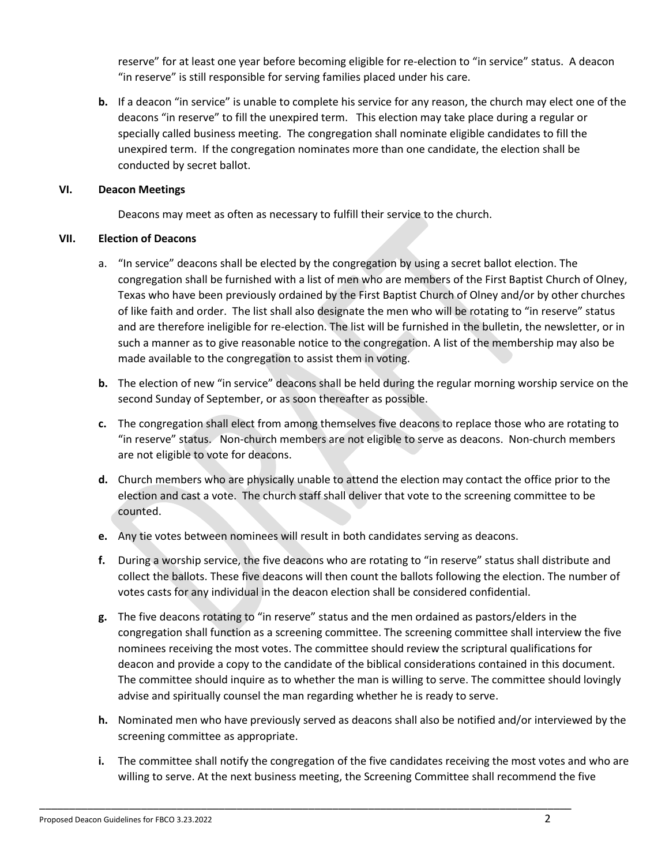reserve" for at least one year before becoming eligible for re-election to "in service" status. A deacon "in reserve" is still responsible for serving families placed under his care.

**b.** If a deacon "in service" is unable to complete his service for any reason, the church may elect one of the deacons "in reserve" to fill the unexpired term. This election may take place during a regular or specially called business meeting. The congregation shall nominate eligible candidates to fill the unexpired term. If the congregation nominates more than one candidate, the election shall be conducted by secret ballot.

#### **VI. Deacon Meetings**

Deacons may meet as often as necessary to fulfill their service to the church.

### **VII. Election of Deacons**

- a. "In service" deacons shall be elected by the congregation by using a secret ballot election. The congregation shall be furnished with a list of men who are members of the First Baptist Church of Olney, Texas who have been previously ordained by the First Baptist Church of Olney and/or by other churches of like faith and order. The list shall also designate the men who will be rotating to "in reserve" status and are therefore ineligible for re-election. The list will be furnished in the bulletin, the newsletter, or in such a manner as to give reasonable notice to the congregation. A list of the membership may also be made available to the congregation to assist them in voting.
- **b.** The election of new "in service" deacons shall be held during the regular morning worship service on the second Sunday of September, or as soon thereafter as possible.
- **c.** The congregation shall elect from among themselves five deacons to replace those who are rotating to "in reserve" status. Non-church members are not eligible to serve as deacons. Non-church members are not eligible to vote for deacons.
- **d.** Church members who are physically unable to attend the election may contact the office prior to the election and cast a vote. The church staff shall deliver that vote to the screening committee to be counted.
- **e.** Any tie votes between nominees will result in both candidates serving as deacons.

- **f.** During a worship service, the five deacons who are rotating to "in reserve" status shall distribute and collect the ballots. These five deacons will then count the ballots following the election. The number of votes casts for any individual in the deacon election shall be considered confidential.
- **g.** The five deacons rotating to "in reserve" status and the men ordained as pastors/elders in the congregation shall function as a screening committee. The screening committee shall interview the five nominees receiving the most votes. The committee should review the scriptural qualifications for deacon and provide a copy to the candidate of the biblical considerations contained in this document. The committee should inquire as to whether the man is willing to serve. The committee should lovingly advise and spiritually counsel the man regarding whether he is ready to serve.
- **h.** Nominated men who have previously served as deacons shall also be notified and/or interviewed by the screening committee as appropriate.
- **i.** The committee shall notify the congregation of the five candidates receiving the most votes and who are willing to serve. At the next business meeting, the Screening Committee shall recommend the five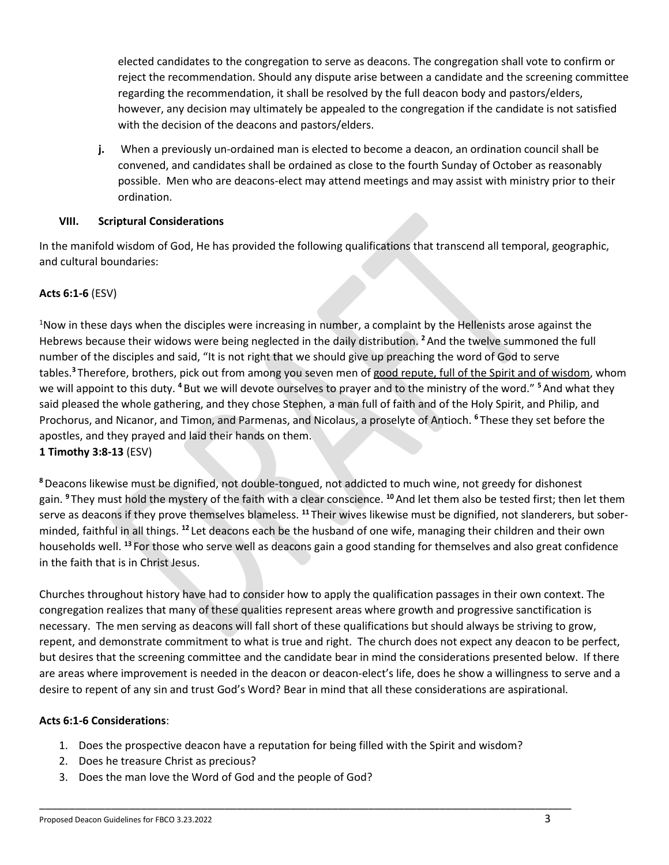elected candidates to the congregation to serve as deacons. The congregation shall vote to confirm or reject the recommendation. Should any dispute arise between a candidate and the screening committee regarding the recommendation, it shall be resolved by the full deacon body and pastors/elders, however, any decision may ultimately be appealed to the congregation if the candidate is not satisfied with the decision of the deacons and pastors/elders.

**j.** When a previously un-ordained man is elected to become a deacon, an ordination council shall be convened, and candidates shall be ordained as close to the fourth Sunday of October as reasonably possible. Men who are deacons-elect may attend meetings and may assist with ministry prior to their ordination.

## **VIII. Scriptural Considerations**

In the manifold wisdom of God, He has provided the following qualifications that transcend all temporal, geographic, and cultural boundaries:

## **Acts 6:1-6** (ESV)

<sup>1</sup>Now in these days when the disciples were increasing in number, a complaint by the Hellenists arose against the Hebrews because their widows were being neglected in the daily distribution. **<sup>2</sup>**And the twelve summoned the full number of the disciples and said, "It is not right that we should give up preaching the word of God to serve tables.**<sup>3</sup>** Therefore, brothers, pick out from among you seven men of good repute, full of the Spirit and of wisdom, whom we will appoint to this duty. **<sup>4</sup>** But we will devote ourselves to prayer and to the ministry of the word." **<sup>5</sup>**And what they said pleased the whole gathering, and they chose Stephen, a man full of faith and of the Holy Spirit, and Philip, and Prochorus, and Nicanor, and Timon, and Parmenas, and Nicolaus, a proselyte of Antioch. **<sup>6</sup>** These they set before the apostles, and they prayed and laid their hands on them. **1 Timothy 3:8-13** (ESV)

**<sup>8</sup>**Deacons likewise must be dignified, not double-tongued, not addicted to much wine, not greedy for dishonest gain. **<sup>9</sup>** They must hold the mystery of the faith with a clear conscience. **<sup>10</sup>**And let them also be tested first; then let them serve as deacons if they prove themselves blameless. **<sup>11</sup>** Their wives likewise must be dignified, not slanderers, but soberminded, faithful in all things. **<sup>12</sup>** Let deacons each be the husband of one wife, managing their children and their own households well. **<sup>13</sup>** For those who serve well as deacons gain a good standing for themselves and also great confidence in the faith that is in Christ Jesus.

Churches throughout history have had to consider how to apply the qualification passages in their own context. The congregation realizes that many of these qualities represent areas where growth and progressive sanctification is necessary. The men serving as deacons will fall short of these qualifications but should always be striving to grow, repent, and demonstrate commitment to what is true and right. The church does not expect any deacon to be perfect, but desires that the screening committee and the candidate bear in mind the considerations presented below. If there are areas where improvement is needed in the deacon or deacon-elect's life, does he show a willingness to serve and a desire to repent of any sin and trust God's Word? Bear in mind that all these considerations are aspirational.

## **Acts 6:1-6 Considerations**:

1. Does the prospective deacon have a reputation for being filled with the Spirit and wisdom?

- 2. Does he treasure Christ as precious?
- 3. Does the man love the Word of God and the people of God?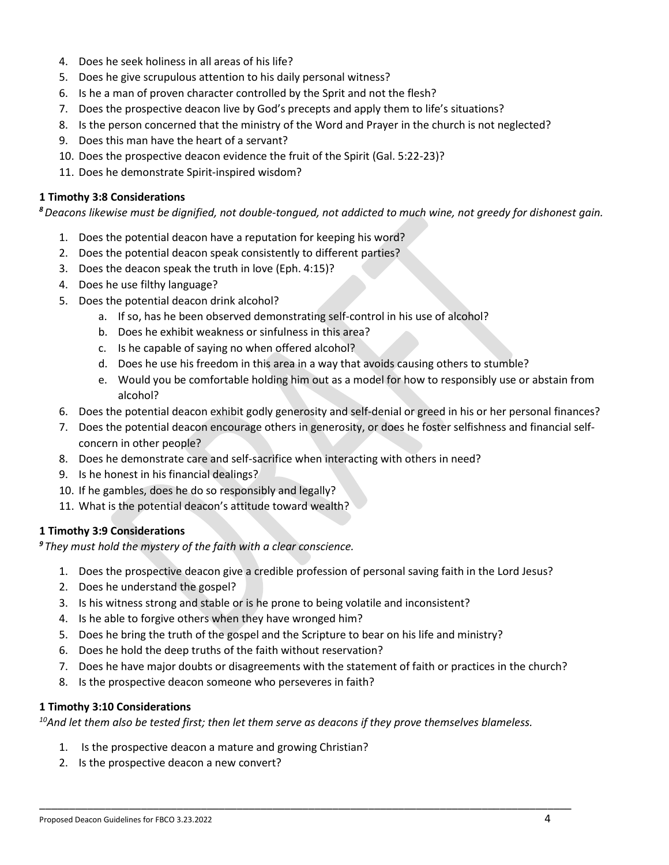- 4. Does he seek holiness in all areas of his life?
- 5. Does he give scrupulous attention to his daily personal witness?
- 6. Is he a man of proven character controlled by the Sprit and not the flesh?
- 7. Does the prospective deacon live by God's precepts and apply them to life's situations?
- 8. Is the person concerned that the ministry of the Word and Prayer in the church is not neglected?
- 9. Does this man have the heart of a servant?
- 10. Does the prospective deacon evidence the fruit of the Spirit (Gal. 5:22-23)?
- 11. Does he demonstrate Spirit-inspired wisdom?

### **1 Timothy 3:8 Considerations**

*<sup>8</sup>Deacons likewise must be dignified, not double-tongued, not addicted to much wine, not greedy for dishonest gain.*

- 1. Does the potential deacon have a reputation for keeping his word?
- 2. Does the potential deacon speak consistently to different parties?
- 3. Does the deacon speak the truth in love (Eph. 4:15)?
- 4. Does he use filthy language?
- 5. Does the potential deacon drink alcohol?
	- a. If so, has he been observed demonstrating self-control in his use of alcohol?
	- b. Does he exhibit weakness or sinfulness in this area?
	- c. Is he capable of saying no when offered alcohol?
	- d. Does he use his freedom in this area in a way that avoids causing others to stumble?
	- e. Would you be comfortable holding him out as a model for how to responsibly use or abstain from alcohol?
- 6. Does the potential deacon exhibit godly generosity and self-denial or greed in his or her personal finances?
- 7. Does the potential deacon encourage others in generosity, or does he foster selfishness and financial selfconcern in other people?
- 8. Does he demonstrate care and self-sacrifice when interacting with others in need?
- 9. Is he honest in his financial dealings?
- 10. If he gambles, does he do so responsibly and legally?
- 11. What is the potential deacon's attitude toward wealth?

## **1 Timothy 3:9 Considerations**

*<sup>9</sup> They must hold the mystery of the faith with a clear conscience.*

- 1. Does the prospective deacon give a credible profession of personal saving faith in the Lord Jesus?
- 2. Does he understand the gospel?
- 3. Is his witness strong and stable or is he prone to being volatile and inconsistent?
- 4. Is he able to forgive others when they have wronged him?
- 5. Does he bring the truth of the gospel and the Scripture to bear on his life and ministry?
- 6. Does he hold the deep truths of the faith without reservation?
- 7. Does he have major doubts or disagreements with the statement of faith or practices in the church?
- 8. Is the prospective deacon someone who perseveres in faith?

### **1 Timothy 3:10 Considerations**

*<sup>10</sup>And let them also be tested first; then let them serve as deacons if they prove themselves blameless.*

- 1. Is the prospective deacon a mature and growing Christian?
- 2. Is the prospective deacon a new convert?